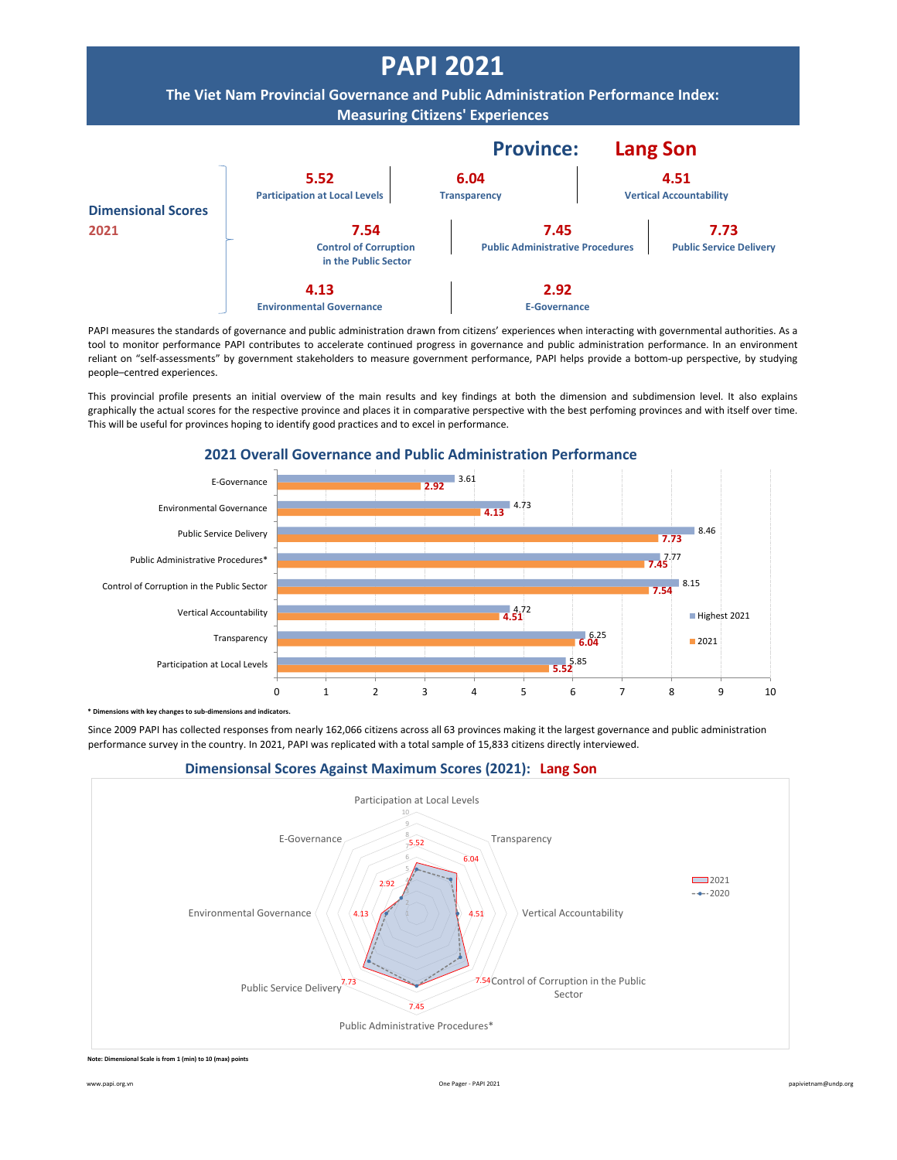

PAPI measures the standards of governance and public administration drawn from citizens' experiences when interacting with governmental authorities. As a tool to monitor performance PAPI contributes to accelerate continued progress in governance and public administration performance. In an environment reliant on "self-assessments" by government stakeholders to measure government performance, PAPI helps provide a bottom-up perspective, by studying people–centred experiences.

This provincial profile presents an initial overview of the main results and key findings at both the dimension and subdimension level. It also explains graphically the actual scores for the respective province and places it in comparative perspective with the best perfoming provinces and with itself over time. This will be useful for provinces hoping to identify good practices and to excel in performance.



**2021 Overall Governance and Public Administration Performance**

**bimenth componentify** changes to sub-dimensions and indicators.

Since 2009 PAPI has collected responses from nearly 162,066 citizens across all 63 provinces making it the largest governance and public administration performance survey in the country. In 2021, PAPI was replicated with a total sample of 15,833 citizens directly interviewed.





**Note: Dimensional Scale is from 1 (min) to 10 (max) points**